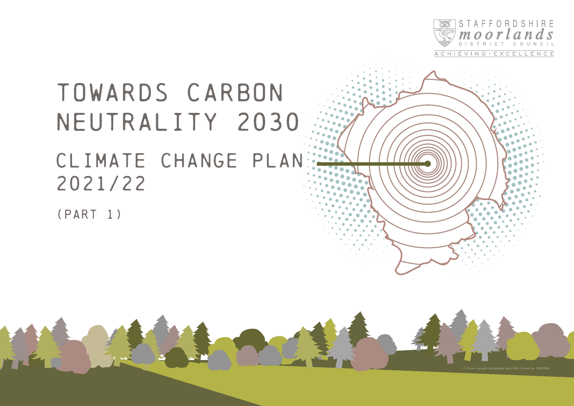

ACHIEVING · EXCELLENCE

# TOWARDS CARBON NEUTRALITY 2030 CLIMATE CHANGE PLAN 2021/22

(PART 1)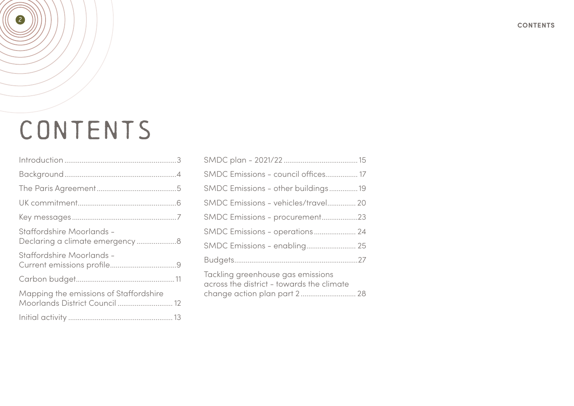# CONTENTS

| Staffordshire Moorlands -                                                |  |
|--------------------------------------------------------------------------|--|
| Staffordshire Moorlands -                                                |  |
|                                                                          |  |
| Mapping the emissions of Staffordshire<br>Moorlands District Council  12 |  |
|                                                                          |  |

| SMDC Emissions - council offices 17                                                                            |
|----------------------------------------------------------------------------------------------------------------|
| SMDC Emissions - other buildings19                                                                             |
| SMDC Emissions - vehicles/travel 20                                                                            |
| SMDC Emissions - procurement23                                                                                 |
| SMDC Emissions - operations 24                                                                                 |
| SMDC Emissions - enabling 25                                                                                   |
|                                                                                                                |
| Tackling greenhouse gas emissions<br>across the district - towards the climate<br>change action plan part 2 28 |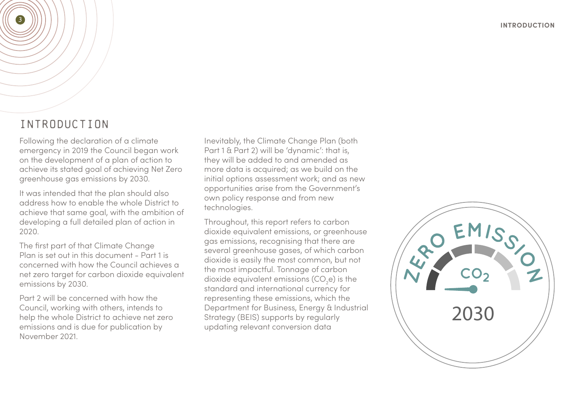## INTRODUCTION

<span id="page-2-0"></span>3

Following the declaration of a climate emergency in 2019 the Council began work on the development of a plan of action to achieve its stated goal of achieving Net Zero greenhouse gas emissions by 2030.

It was intended that the plan should also address how to enable the whole District to achieve that same goal, with the ambition of developing a full detailed plan of action in 2020.

The first part of that Climate Change Plan is set out in this document - Part 1 is concerned with how the Council achieves a net zero target for carbon dioxide equivalent emissions by 2030.

Part 2 will be concerned with how the Council, working with others, intends to help the whole District to achieve net zero emissions and is due for publication by November 2021.

Inevitably, the Climate Change Plan (both Part 1 & Part 2) will be 'dynamic': that is, they will be added to and amended as more data is acquired; as we build on the initial options assessment work; and as new opportunities arise from the Government's own policy response and from new technologies.

Throughout, this report refers to carbon dioxide equivalent emissions, or greenhouse gas emissions, recognising that there are several greenhouse gases, of which carbon dioxide is easily the most common, but not the most impactful. Tonnage of carbon dioxide equivalent emissions (CO<sub>2</sub>e) is the standard and international currency for representing these emissions, which the Department for Business, Energy & Industrial Strategy (BEIS) supports by regularly updating relevant conversion data

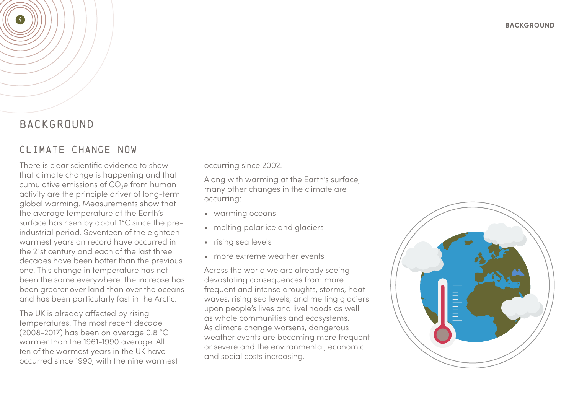### BACKGROUND

<span id="page-3-0"></span>4

### CLIMATE CHANGE NOW

There is clear scientific evidence to show that climate change is happening and that cumulative emissions of  $CO<sub>2</sub>e$  from human activity are the principle driver of long-term global warming. Measurements show that the average temperature at the Earth's surface has risen by about 1°C since the preindustrial period. Seventeen of the eighteen warmest years on record have occurred in the 21st century and each of the last three decades have been hotter than the previous one. This change in temperature has not been the same everywhere: the increase has been greater over land than over the oceans and has been particularly fast in the Arctic.

The UK is already affected by rising temperatures. The most recent decade (2008-2017) has been on average 0.8 °C warmer than the 1961-1990 average. All ten of the warmest years in the UK have occurred since 1990, with the nine warmest occurring since 2002.

Along with warming at the Earth's surface, many other changes in the climate are occurring:

- warming oceans
- melting polar ice and glaciers
- rising sea levels
- more extreme weather events

Across the world we are already seeing devastating consequences from more frequent and intense droughts, storms, heat waves, rising sea levels, and melting glaciers upon people's lives and livelihoods as well as whole communities and ecosystems. As climate change worsens, dangerous weather events are becoming more frequent or severe and the environmental, economic and social costs increasing.

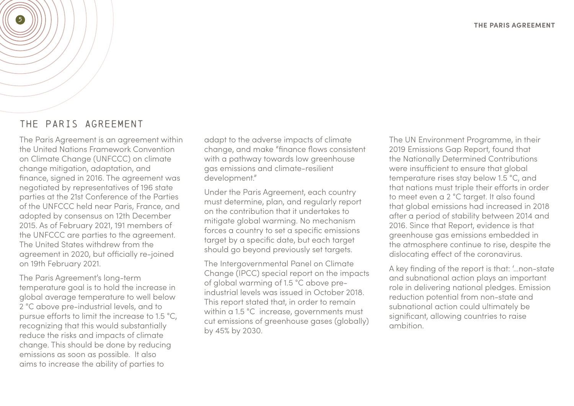#### THE PARIS AGREEMENT

<span id="page-4-0"></span>5

The Paris Agreement is an agreement within the United Nations Framework Convention on Climate Change (UNFCCC) on climate change mitigation, adaptation, and finance, signed in 2016. The agreement was negotiated by representatives of 196 state parties at the 21st Conference of the Parties of the UNFCCC held near Paris, France, and adopted by consensus on 12th December 2015. As of February 2021, 191 members of the UNFCCC are parties to the agreement. The United States withdrew from the agreement in 2020, but officially re-joined on 19th February 2021.

The Paris Agreement's long-term temperature goal is to hold the increase in global average temperature to well below 2 °C above pre-industrial levels, and to pursue efforts to limit the increase to 1.5 °C, recognizing that this would substantially reduce the risks and impacts of climate change. This should be done by reducing emissions as soon as possible. It also aims to increase the ability of parties to

adapt to the adverse impacts of climate change, and make "finance flows consistent with a pathway towards low greenhouse gas emissions and climate-resilient development."

Under the Paris Agreement, each country must determine, plan, and regularly report on the contribution that it undertakes to mitigate global warming. No mechanism forces a country to set a specific emissions target by a specific date, but each target should go beyond previously set targets.

The Intergovernmental Panel on Climate Change (IPCC) special report on the impacts of global warming of 1.5 °C above preindustrial levels was issued in October 2018. This report stated that, in order to remain within a 1.5 °C increase, governments must cut emissions of greenhouse gases (globally) by 45% by 2030.

The UN Environment Programme, in their 2019 Emissions Gap Report, found that the Nationally Determined Contributions were insufficient to ensure that global temperature rises stay below 1.5 °C, and that nations must triple their efforts in order to meet even a 2 °C target. It also found that global emissions had increased in 2018 after a period of stability between 2014 and 2016. Since that Report, evidence is that greenhouse gas emissions embedded in the atmosphere continue to rise, despite the dislocating effect of the coronavirus.

A key finding of the report is that: '…non-state and subnational action plays an important role in delivering national pledges. Emission reduction potential from non-state and subnational action could ultimately be significant, allowing countries to raise ambition.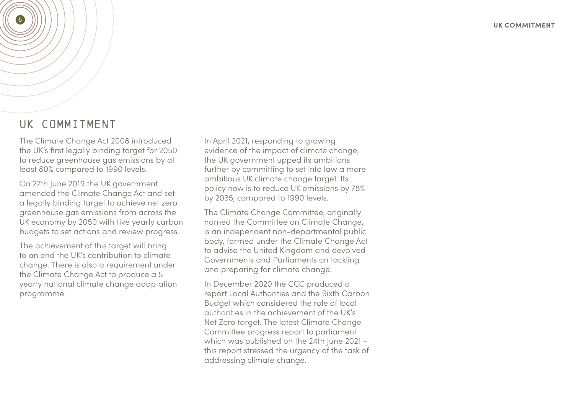### UK COMMITMENT

<span id="page-5-0"></span>6

The Climate Change Act 2008 introduced the UK's first legally binding target for 2050 to reduce greenhouse gas emissions by at least 80% compared to 1990 levels.

On 27th June 2019 the UK government amended the Climate Change Act and set a legally binding target to achieve net zero greenhouse gas emissions from across the UK economy by 2050 with five yearly carbon budgets to set actions and review progress.

The achievement of this target will bring to an end the UK's contribution to climate change. There is also a requirement under the Climate Change Act to produce a 5 yearly national climate change adaptation programme.

In April 2021, responding to growing evidence of the impact of climate change, the UK government upped its ambitions further by committing to set into law a more ambitious UK climate change target. Its policy now is to reduce UK emissions by 78% by 2035, compared to 1990 levels.

The Climate Change Committee, originally named the Committee on Climate Change, is an independent non-departmental public body, formed under the Climate Change Act to advise the United Kingdom and devolved Governments and Parliaments on tackling and preparing for climate change.

In December 2020 the CCC produced a report Local Authorities and the Sixth Carbon Budget which considered the role of local authorities in the achievement of the UK's Net Zero target. The latest Climate Change Committee progress report to parliament which was published on the 24th June 2021 – this report stressed the urgency of the task of addressing climate change.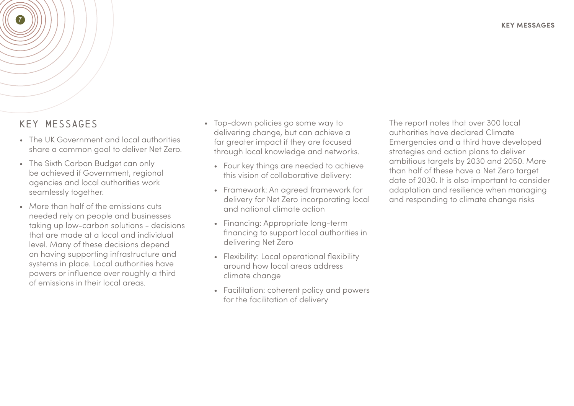### KEY MESSAGES

<span id="page-6-0"></span>7

- The UK Government and local authorities share a common goal to deliver Net Zero.
- The Sixth Carbon Budget can only be achieved if Government, regional agencies and local authorities work seamlessly together.
- More than half of the emissions cuts needed rely on people and businesses taking up low-carbon solutions - decisions that are made at a local and individual level. Many of these decisions depend on having supporting infrastructure and systems in place. Local authorities have powers or influence over roughly a third of emissions in their local areas.
- Top-down policies go some way to delivering change, but can achieve a far areater impact if they are focused through local knowledge and networks.
	- Four key things are needed to achieve this vision of collaborative delivery:
	- Framework: An agreed framework for delivery for Net Zero incorporating local and national climate action
	- Financing: Appropriate long-term financing to support local authorities in delivering Net Zero
	- Flexibility: Local operational flexibility around how local areas address climate change
	- Facilitation: coherent policy and powers for the facilitation of delivery

The report notes that over 300 local authorities have declared Climate Emergencies and a third have developed strategies and action plans to deliver ambitious targets by 2030 and 2050. More than half of these have a Net Zero target date of 2030. It is also important to consider adaptation and resilience when managing and responding to climate change risks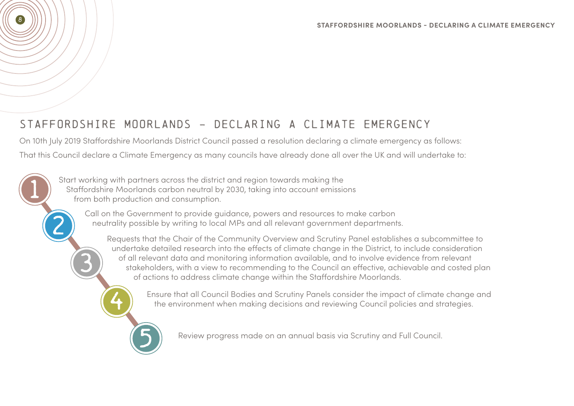# STAFFORDSHIRE MOORLANDS - DECLARING A CLIMATE EMERGENCY

On 10th July 2019 Staffordshire Moorlands District Council passed a resolution declaring a climate emergency as follows:

That this Council declare a Climate Emergency as many councils have already done all over the UK and will undertake to:

Start working with partners across the district and region towards making the Staffordshire Moorlands carbon neutral by 2030, taking into account emissions from both production and consumption.

<span id="page-7-0"></span>8

1

2

3

4

5

Call on the Government to provide guidance, powers and resources to make carbon neutrality possible by writing to local MPs and all relevant government departments.

Requests that the Chair of the Community Overview and Scrutiny Panel establishes a subcommittee to undertake detailed research into the effects of climate change in the District, to include consideration of all relevant data and monitoring information available, and to involve evidence from relevant stakeholders, with a view to recommending to the Council an effective, achievable and costed plan of actions to address climate change within the Staffordshire Moorlands.

> Ensure that all Council Bodies and Scrutiny Panels consider the impact of climate change and the environment when making decisions and reviewing Council policies and strategies.

Review progress made on an annual basis via Scrutiny and Full Council.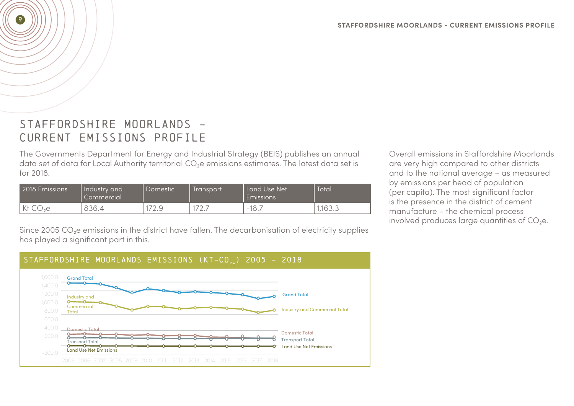## STAFFORDSHIRE MOORLANDS -CURRENT EMISSIONS PROFILE

<span id="page-8-0"></span>9

The Governments Department for Energy and Industrial Strategy (BEIS) publishes an annual data set of data for Local Authority territorial CO<sub>2</sub>e emissions estimates. The latest data set is for 2018.

| 2018 Emissions | Industry and<br>Commercial | Domestic   | Transport                               | Land Use Net<br><b>Emissions</b> | Total                |
|----------------|----------------------------|------------|-----------------------------------------|----------------------------------|----------------------|
| しっピ<br>NI<br>◡ | 836.4                      | ◡<br>ے ، ک | $\neg \neg$<br>$\overline{\phantom{m}}$ | 18.7<br>$\hspace{0.5cm}$         | $\sqrt{2}$<br>10.0.0 |

Overall emissions in Staffordshire Moorlands are very high compared to other districts and to the national average – as measured by emissions per head of population (per capita). The most significant factor is the presence in the district of cement manufacture – the chemical process involved produces large quantities of  $CO<sub>2</sub>e$ .

Since 2005 CO<sub>2</sub>e emissions in the district have fallen. The decarbonisation of electricity supplies has played a significant part in this.

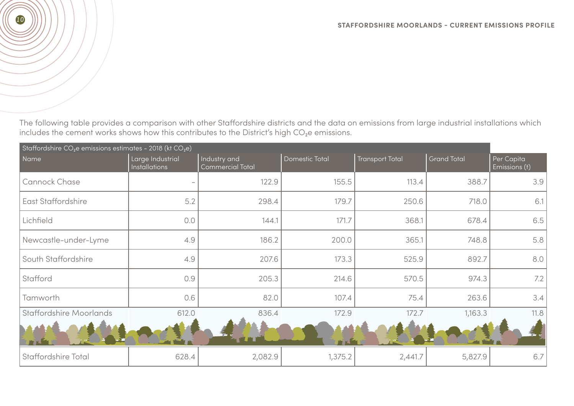The following table provides a comparison with other Staffordshire districts and the data on emissions from large industrial installations which includes the cement works shows how this contributes to the District's high  $CO<sub>2</sub>e$  emissions.

| Staffordshire CO <sub>2</sub> e emissions estimates - 2018 (kt CO <sub>2</sub> e) |                                          |                                         |                |                        |                    |                             |  |  |  |  |  |
|-----------------------------------------------------------------------------------|------------------------------------------|-----------------------------------------|----------------|------------------------|--------------------|-----------------------------|--|--|--|--|--|
| Name                                                                              | Large Industrial<br><b>Installations</b> | Industry and<br><b>Commercial Total</b> | Domestic Total | <b>Transport Total</b> | <b>Grand Total</b> | Per Capita<br>Emissions (t) |  |  |  |  |  |
| Cannock Chase                                                                     |                                          | 122.9                                   | 155.5          | 113.4                  | 388.7              | 3.9                         |  |  |  |  |  |
| <b>East Staffordshire</b>                                                         | 5.2                                      | 298.4                                   | 179.7          | 250.6                  | 718.0              | 6.1                         |  |  |  |  |  |
| Lichfield                                                                         | 0.0                                      | 144.1                                   | 171.7          | 368.1                  | 678.4              | 6.5                         |  |  |  |  |  |
| Newcastle-under-Lyme                                                              | 4.9                                      | 186.2                                   | 200.0          | 365.1                  | 748.8              | 5.8                         |  |  |  |  |  |
| South Staffordshire                                                               | 4.9                                      | 207.6                                   | 173.3          | 525.9                  | 892.7              | 8.0                         |  |  |  |  |  |
| Stafford                                                                          | 0.9                                      | 205.3                                   | 214.6          | 570.5                  | 974.3              | 7.2                         |  |  |  |  |  |
| Tamworth                                                                          | 0.6                                      | 82.0                                    | 107.4          | 75.4                   | 263.6              | 3.4                         |  |  |  |  |  |
| <b>Staffordshire Moorlands</b>                                                    | 612.0                                    | 836.4                                   | 172.9          | 172.7                  | 1,163.3            | 11.8                        |  |  |  |  |  |
|                                                                                   |                                          |                                         |                |                        |                    |                             |  |  |  |  |  |
| Staffordshire Total                                                               | 628.4                                    | 2,082.9                                 | 1,375.2        | 2,441.7                | 5,827.9            | 6.7                         |  |  |  |  |  |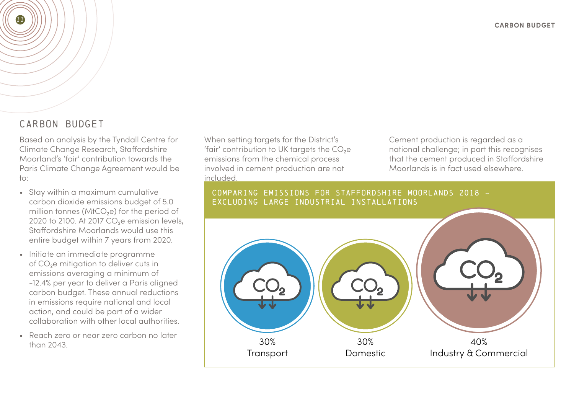### CARBON BUDGET

<span id="page-10-0"></span>11

Based on analysis by the Tyndall Centre for Climate Change Research, Staffordshire Moorland's 'fair' contribution towards the Paris Climate Change Agreement would be to:

- Stay within a maximum cumulative carbon dioxide emissions budget of 5.0 million tonnes ( $MtCO<sub>2</sub>e$ ) for the period of 2020 to 2100. At 2017 CO<sub>2</sub>e emission levels, Staffordshire Moorlands would use this entire budget within 7 years from 2020.
- Initiate an immediate programme of CO<sub>2</sub>e mitigation to deliver cuts in emissions averaging a minimum of -12.4% per year to deliver a Paris aligned carbon budget. These annual reductions in emissions require national and local action, and could be part of a wider collaboration with other local authorities.
- Reach zero or near zero carbon no later than 2043.

When setting targets for the District's 'fair' contribution to UK targets the  $CO<sub>2</sub>e$ emissions from the chemical process involved in cement production are not included.

Cement production is regarded as a national challenge; in part this recognises that the cement produced in Staffordshire Moorlands is in fact used elsewhere.

#### COMPARING EMISSIONS FOR STAFFORDSHIRE MOORLANDS 2018 - EXCLUDING LARGE INDUSTRIAL INSTALLATIONS

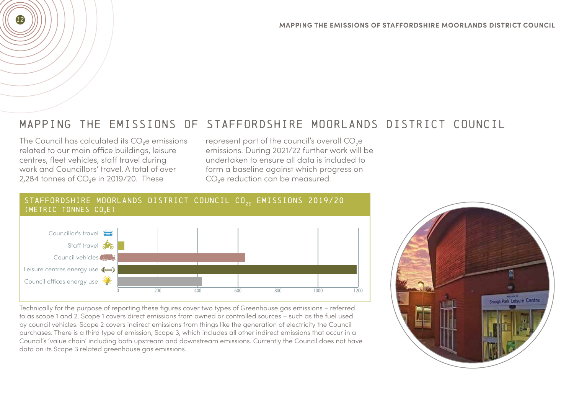## MAPPING THE EMISSIONS OF STAFFORDSHIRE MOORLANDS DISTRICT COUNCIL

The Council has calculated its CO<sub>2</sub>e emissions related to our main office buildings, leisure centres, fleet vehicles, staff travel during work and Councillors' travel. A total of over 2,284 tonnes of  $CO<sub>2</sub>e$  in 2019/20. These

<span id="page-11-0"></span>12

represent part of the council's overall  $\mathrm{CO}_2\mathrm{e}$ emissions. During 2021/22 further work will be undertaken to ensure all data is included to form a baseline against which progress on CO<sub>2</sub>e reduction can be measured.



Technically for the purpose of reporting these figures cover two types of Greenhouse gas emissions – referred to as scope 1 and 2. Scope 1 covers direct emissions from owned or controlled sources – such as the fuel used by council vehicles. Scope 2 covers indirect emissions from things like the generation of electricity the Council purchases. There is a third type of emission, Scope 3, which includes all other indirect emissions that occur in a Council's 'value chain' including both upstream and downstream emissions. Currently the Council does not have data on its Scope 3 related greenhouse gas emissions.

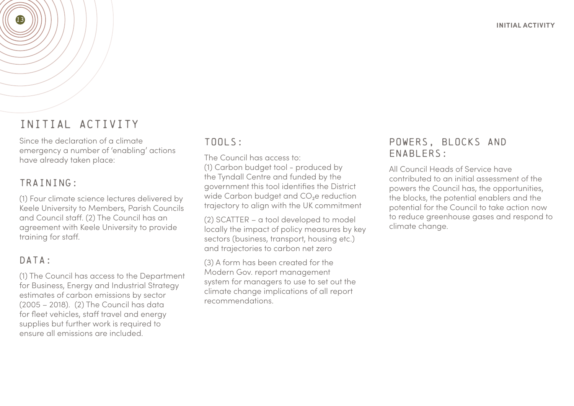# INITIAL ACTIVITY

Since the declaration of a climate emergency a number of 'enabling' actions have already taken place:

### TRAINING:

<span id="page-12-0"></span>13

(1) Four climate science lectures delivered by Keele University to Members, Parish Councils and Council staff. (2) The Council has an agreement with Keele University to provide training for staff.

### DATA:

(1) The Council has access to the Department for Business, Energy and Industrial Strategy estimates of carbon emissions by sector (2005 – 2018). (2) The Council has data for fleet vehicles, staff travel and energy supplies but further work is required to ensure all emissions are included.

#### TOOLS:

The Council has access to:

(1) Carbon budget tool - produced by the Tyndall Centre and funded by the government this tool identifies the District wide Carbon budget and  $CO<sub>2</sub>e$  reduction trajectory to align with the UK commitment

(2) SCATTER – a tool developed to model locally the impact of policy measures by key sectors (business, transport, housing etc.) and trajectories to carbon net zero

(3) A form has been created for the Modern Gov. report management system for managers to use to set out the climate change implications of all report recommendations.

### POWERS, BLOCKS AND ENABLERS:

All Council Heads of Service have contributed to an initial assessment of the powers the Council has, the opportunities, the blocks, the potential enablers and the potential for the Council to take action now to reduce greenhouse gases and respond to climate change.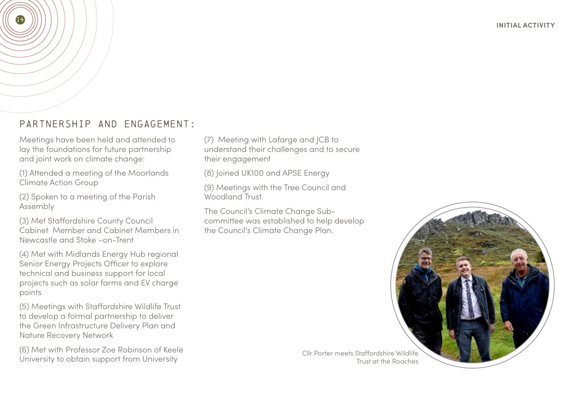### PARTNERSHIP AND ENGAGEMENT:

Meetings have been held and attended to lay the foundations for future partnership and joint work on climate change:

14

(1) Attended a meeting of the Moorlands Climate Action Group

(2) Spoken to a meeting of the Parish Assembly

(3) Met Staffordshire County Council Cabinet Member and Cabinet Members in Newcastle and Stoke –on-Trent

(4) Met with Midlands Energy Hub regional Senior Energy Projects Officer to explore technical and business support for local projects such as solar farms and EV charge points

(5) Meetings with Staffordshire Wildlife Trust to develop a formal partnership to deliver the Green Infrastructure Delivery Plan and Nature Recovery Network

(6) Met with Professor Zoe Robinson of Keele University to obtain support from University

(7) Meeting with Lafarge and JCB to understand their challenges and to secure their engagement

(8) Joined UK100 and APSE Energy

(9) Meetings with the Tree Council and Woodland Trust.

The Council's Climate Change Subcommittee was established to help develop the Council's Climate Change Plan.



Cllr Porter meets Staffordshire Wildlife Trust at the Roaches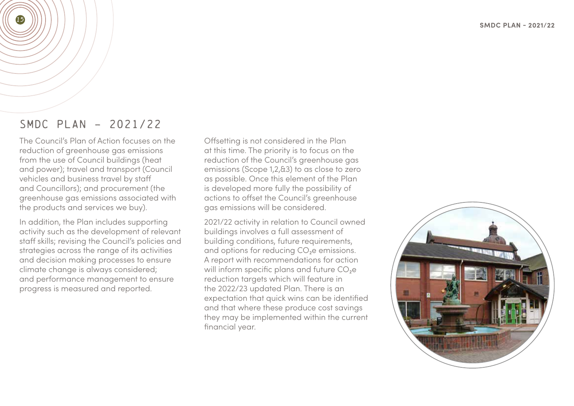### SMDC PLAN – 2021/22

<span id="page-14-0"></span>15

The Council's Plan of Action focuses on the reduction of greenhouse gas emissions from the use of Council buildings (heat and power); travel and transport (Council vehicles and business travel by staff and Councillors); and procurement (the greenhouse gas emissions associated with the products and services we buy).

In addition, the Plan includes supporting activity such as the development of relevant staff skills; revising the Council's policies and strategies across the range of its activities and decision making processes to ensure climate change is always considered; and performance management to ensure progress is measured and reported.

Offsetting is not considered in the Plan at this time. The priority is to focus on the reduction of the Council's greenhouse gas emissions (Scope 1,2,&3) to as close to zero as possible. Once this element of the Plan is developed more fully the possibility of actions to offset the Council's greenhouse gas emissions will be considered.

2021/22 activity in relation to Council owned buildings involves a full assessment of building conditions, future requirements, and options for reducing  $CO<sub>2</sub>e$  emissions. A report with recommendations for action will inform specific plans and future  $CO<sub>2</sub>e$ reduction targets which will feature in the 2022/23 updated Plan. There is an expectation that quick wins can be identified and that where these produce cost savings they may be implemented within the current financial year.

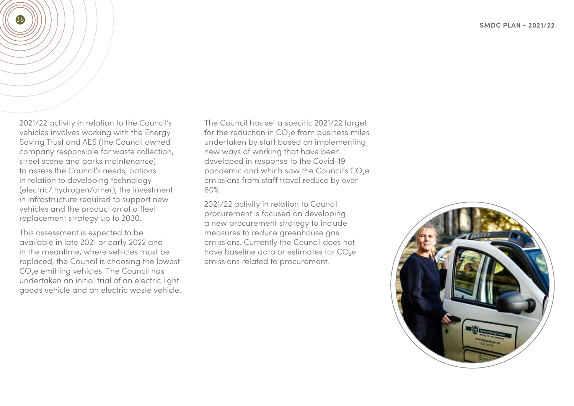2021/22 activity in relation to the Council's vehicles involves working with the Energy Saving Trust and AES (the Council owned company responsible for waste collection, street scene and parks maintenance) to assess the Council's needs, options in relation to developing technology (electric/ hydrogen/other), the investment in infrastructure required to support new vehicles and the production of a fleet replacement strategy up to 2030.

16

This assessment is expected to be available in late 2021 or early 2022 and in the meantime, where vehicles must be replaced, the Council is choosing the lowest CO<sub>2</sub>e emitting vehicles. The Council has undertaken an initial trial of an electric light goods vehicle and an electric waste vehicle. The Council has set a specific 2021/22 target for the reduction in CO<sub>2</sub>e from business miles undertaken by staff based on implementing new ways of working that have been developed in response to the Covid-19 pandemic and which saw the Council's CO<sub>2</sub>e emissions from staff travel reduce by over 60%

2021/22 activity in relation to Council procurement is focused on developing a new procurement strategy to include measures to reduce greenhouse gas emissions. Currently the Council does not have baseline data or estimates for CO<sub>2</sub>e emissions related to procurement.

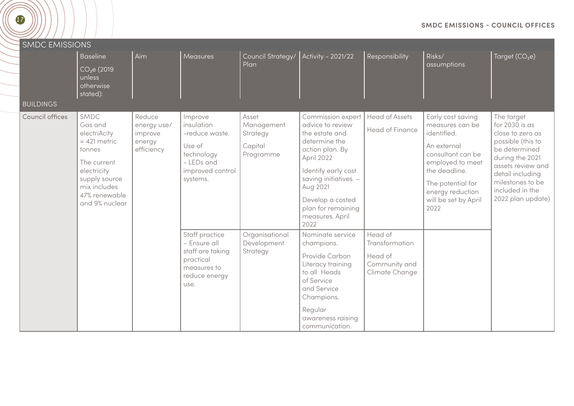<span id="page-16-0"></span>

| <b>SMDC EMISSIONS</b> |                                                                                                                                                               |                                                          |                                                                                                               |                                                         |                                                                                                                                                                                                                                            |                                                                         |                                                                                                                                                                                                       |                                                                                                                                                                                                                |
|-----------------------|---------------------------------------------------------------------------------------------------------------------------------------------------------------|----------------------------------------------------------|---------------------------------------------------------------------------------------------------------------|---------------------------------------------------------|--------------------------------------------------------------------------------------------------------------------------------------------------------------------------------------------------------------------------------------------|-------------------------------------------------------------------------|-------------------------------------------------------------------------------------------------------------------------------------------------------------------------------------------------------|----------------------------------------------------------------------------------------------------------------------------------------------------------------------------------------------------------------|
| <b>BUILDINGS</b>      | <b>Baseline</b><br>CO <sub>2</sub> e (2019)<br>unless<br>otherwise<br>stated):                                                                                | Aim                                                      | Measures                                                                                                      | Council Strategy/<br>Plan                               | Activity - 2021/22                                                                                                                                                                                                                         | Responsibility                                                          | Risks/<br>assumptions                                                                                                                                                                                 | $\overline{\mathsf{T} \mathsf{arget}}$ $\overline{(\mathsf{CO}_2\mathsf{e})}$                                                                                                                                  |
| Council offices       | SMDC<br>Gas and<br>electriAcity<br>$= 421$ metric<br>tonnes<br>The current<br>electricity<br>supply source<br>mix includes<br>47% renewable<br>and 9% nuclear | Reduce<br>energy use/<br>improve<br>energy<br>efficiency | Improve<br>insulation<br>-reduce waste.<br>Use of<br>technology<br>- LEDs and<br>improved control<br>systems. | Asset<br>Management<br>Strategy<br>Capital<br>Programme | Commission expert<br>advice to review<br>the estate and<br>determine the<br>action plan. By<br>April 2022<br>Identify early cost<br>saving initiatives. -<br>Aug 2021<br>Develop a costed<br>plan for remaining<br>measures. April<br>2022 | <b>Head of Assets</b><br>Head of Finance                                | Early cost saving<br>measures can be<br>identified.<br>An external<br>consultant can be<br>employed to meet<br>the deadline.<br>The potential for<br>energy reduction<br>will be set by April<br>2022 | The target<br>for 2030 is as<br>close to zero as<br>possible (this to<br>be determined<br>during the 2021<br>assets review and<br>detail including<br>milestones to be<br>included in the<br>2022 plan update) |
|                       |                                                                                                                                                               |                                                          | Staff practice<br>- Ensure all<br>staff are taking<br>practical<br>measures to<br>reduce energy<br>use.       | Organisational<br>Development<br>Strategy               | Nominate service<br>champions.<br>Provide Carbon<br>Literacy training<br>to all Heads<br>of Service<br>and Service<br>Champions.<br>Regular<br>awareness raising<br>communication.                                                         | Head of<br>Transformation<br>Head of<br>Community and<br>Climate Change |                                                                                                                                                                                                       |                                                                                                                                                                                                                |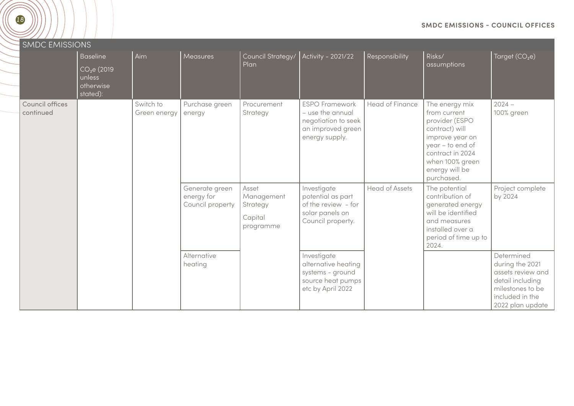| <b>SMDC EMISSIONS</b>        |                                                                               |                           |                                                  |                                                         |                                                                                                         |                        |                                                                                                                                                                                  |                                                                                                                                   |
|------------------------------|-------------------------------------------------------------------------------|---------------------------|--------------------------------------------------|---------------------------------------------------------|---------------------------------------------------------------------------------------------------------|------------------------|----------------------------------------------------------------------------------------------------------------------------------------------------------------------------------|-----------------------------------------------------------------------------------------------------------------------------------|
|                              | <b>Baseline</b><br>CO <sub>2</sub> e(2019)<br>unless<br>otherwise<br>stated): | Aim                       | Measures                                         | Council Strategy/<br>Plan                               | Activity - 2021/22                                                                                      | Responsibility         | Risks/<br>assumptions                                                                                                                                                            | Target $(CO2e)$                                                                                                                   |
| Council offices<br>continued |                                                                               | Switch to<br>Green energy | Purchase green<br>energy                         | Procurement<br>Strategy                                 | <b>ESPO Framework</b><br>- use the annual<br>negotiation to seek<br>an improved green<br>energy supply. | <b>Head of Finance</b> | The energy mix<br>from current<br>provider (ESPO<br>contract) will<br>improve year on<br>year - to end of<br>contract in 2024<br>when 100% green<br>energy will be<br>purchased. | $2024 -$<br>100% green                                                                                                            |
|                              |                                                                               |                           | Generate green<br>energy for<br>Council property | Asset<br>Management<br>Strategy<br>Capital<br>programme | Investigate<br>potential as part<br>of the review - for<br>solar panels on<br>Council property.         | <b>Head of Assets</b>  | The potential<br>contribution of<br>generated energy<br>will be identified<br>and measures<br>installed over a<br>period of time up to<br>2024.                                  | Project complete<br>by 2024                                                                                                       |
|                              |                                                                               |                           | Alternative<br>heating                           |                                                         | Investigate<br>alternative heating<br>systems - ground<br>source heat pumps<br>etc by April 2022        |                        |                                                                                                                                                                                  | Determined<br>during the 2021<br>assets review and<br>detail including<br>milestones to be<br>included in the<br>2022 plan update |

18

 $\frac{1}{2}$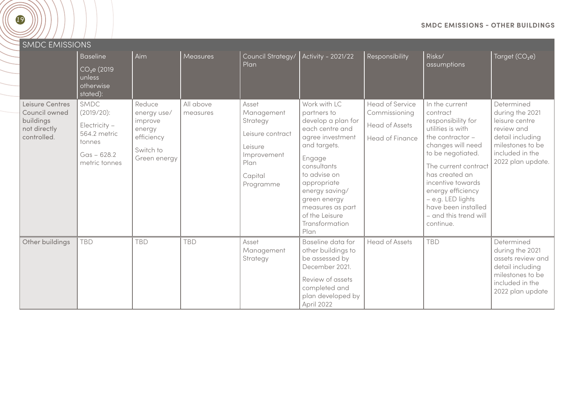<span id="page-18-0"></span>

| <b>SMDC EMISSIONS</b>                                                        |                                                                                                 |                                                                                       |                       |                                                                                                               |                                                                                                                                                                                                                                                                    |                                                                              |                                                                                                                                                                                                                                                                                                             |                                                                                                                                               |  |  |  |  |
|------------------------------------------------------------------------------|-------------------------------------------------------------------------------------------------|---------------------------------------------------------------------------------------|-----------------------|---------------------------------------------------------------------------------------------------------------|--------------------------------------------------------------------------------------------------------------------------------------------------------------------------------------------------------------------------------------------------------------------|------------------------------------------------------------------------------|-------------------------------------------------------------------------------------------------------------------------------------------------------------------------------------------------------------------------------------------------------------------------------------------------------------|-----------------------------------------------------------------------------------------------------------------------------------------------|--|--|--|--|
|                                                                              | <b>Baseline</b><br>CO <sub>2</sub> e(2019)<br>unless<br>otherwise<br>stated):                   | Aim                                                                                   | <b>Measures</b>       | Council Strategy/<br>Plan                                                                                     | Activity - 2021/22                                                                                                                                                                                                                                                 | Responsibility                                                               | Risks/<br>assumptions                                                                                                                                                                                                                                                                                       | Target $(CO2e)$                                                                                                                               |  |  |  |  |
| Leisure Centres<br>Council owned<br>buildings<br>not directly<br>controlled. | SMDC<br>(2019/20):<br>Electricity -<br>564.2 metric<br>tonnes<br>$Gas - 628.2$<br>metric tonnes | Reduce<br>energy use/<br>improve<br>energy<br>efficiency<br>Switch to<br>Green energy | All above<br>measures | Asset<br>Management<br>Strategy<br>Leisure contract<br>Leisure<br>Improvement<br>Plan<br>Capital<br>Programme | Work with LC<br>partners to<br>develop a plan for<br>each centre and<br>agree investment<br>and targets.<br>Engage<br>consultants<br>to advise on<br>appropriate<br>energy saving/<br>green energy<br>measures as part<br>of the Leisure<br>Transformation<br>Plan | Head of Service<br>Commissioning<br><b>Head of Assets</b><br>Head of Finance | In the current<br>contract<br>responsibility for<br>utilities is with<br>the contractor $-$<br>changes will need<br>to be negotiated.<br>The current contract<br>has created an<br>incentive towards<br>energy efficiency<br>- e.g. LED lights<br>have been installed<br>- and this trend will<br>continue. | Determined<br>during the 2021<br>leisure centre<br>review and<br>detail including<br>milestones to be<br>included in the<br>2022 plan update. |  |  |  |  |
| Other buildings                                                              | <b>TBD</b>                                                                                      | <b>TBD</b>                                                                            | <b>TBD</b>            | Asset<br>Management<br>Strategy                                                                               | Baseline data for<br>other buildings to<br>be assessed by<br>December 2021.<br>Review of assets<br>completed and<br>والباري والمربوبا والمحاوي والمرواني                                                                                                           | <b>Head of Assets</b>                                                        | <b>TBD</b>                                                                                                                                                                                                                                                                                                  | Determined<br>during the 2021<br>assets review and<br>detail including<br>milestones to be<br>included in the<br>2022 plan update             |  |  |  |  |

plan developed by

April 2022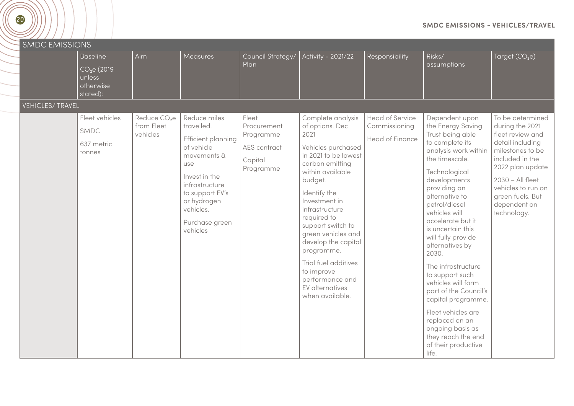<span id="page-19-0"></span>

#### **SMDC EMISSIONS - VEHICLES/TRAVEL**

| <b>SMDC EMISSIONS</b>  |                                                                                |                                                    |                                                                                                                                                                                                      |                                                                           |                                                                                                                                                                                                                                                                                                                                                                                               |                                                            |                                                                                                                                                                                                                                                                                                                                                                                                                                                                                                                                                       |                                                                                                                                                                                                                                     |
|------------------------|--------------------------------------------------------------------------------|----------------------------------------------------|------------------------------------------------------------------------------------------------------------------------------------------------------------------------------------------------------|---------------------------------------------------------------------------|-----------------------------------------------------------------------------------------------------------------------------------------------------------------------------------------------------------------------------------------------------------------------------------------------------------------------------------------------------------------------------------------------|------------------------------------------------------------|-------------------------------------------------------------------------------------------------------------------------------------------------------------------------------------------------------------------------------------------------------------------------------------------------------------------------------------------------------------------------------------------------------------------------------------------------------------------------------------------------------------------------------------------------------|-------------------------------------------------------------------------------------------------------------------------------------------------------------------------------------------------------------------------------------|
|                        | <b>Baseline</b><br>CO <sub>2</sub> e (2019)<br>unless<br>otherwise<br>stated): | Aim                                                | Measures                                                                                                                                                                                             | Council Strategy/<br>Plan                                                 | Activity - 2021/22                                                                                                                                                                                                                                                                                                                                                                            | Responsibility                                             | Risks/<br>assumptions                                                                                                                                                                                                                                                                                                                                                                                                                                                                                                                                 | Target $(CO2e)$                                                                                                                                                                                                                     |
| <b>VEHICLES/TRAVEL</b> |                                                                                |                                                    |                                                                                                                                                                                                      |                                                                           |                                                                                                                                                                                                                                                                                                                                                                                               |                                                            |                                                                                                                                                                                                                                                                                                                                                                                                                                                                                                                                                       |                                                                                                                                                                                                                                     |
|                        | Fleet vehicles<br>SMDC<br>637 metric<br>tonnes                                 | Reduce CO <sub>2</sub> e<br>from Fleet<br>vehicles | Reduce miles<br>travelled.<br>Efficient planning<br>of vehicle<br>movements &<br>use<br>Invest in the<br>infrastructure<br>to support EV's<br>or hydrogen<br>vehicles.<br>Purchase green<br>vehicles | Fleet<br>Procurement<br>Programme<br>AES contract<br>Capital<br>Programme | Complete analysis<br>of options. Dec<br>2021<br>Vehicles purchased<br>in 2021 to be lowest<br>carbon emitting<br>within available<br>budget.<br>Identify the<br>Investment in<br>infrastructure<br>required to<br>support switch to<br>green vehicles and<br>develop the capital<br>programme.<br>Trial fuel additives<br>to improve<br>performance and<br>EV alternatives<br>when available. | Head of Service<br>Commissioning<br><b>Head of Finance</b> | Dependent upon<br>the Energy Saving<br>Trust being able<br>to complete its<br>analysis work within<br>the timescale.<br>Technological<br>developments<br>providing an<br>alternative to<br>petrol/diesel<br>vehicles will<br>accelerate but it<br>is uncertain this<br>will fully provide<br>alternatives by<br>2030.<br>The infrastructure<br>to support such<br>vehicles will form<br>part of the Council's<br>capital programme.<br>Fleet vehicles are<br>replaced on an<br>ongoing basis as<br>they reach the end<br>of their productive<br>life. | To be determined<br>during the 2021<br>fleet review and<br>detail including<br>milestones to be<br>included in the<br>2022 plan update<br>2030 - All fleet<br>vehicles to run on<br>green fuels. But<br>dependent on<br>technology. |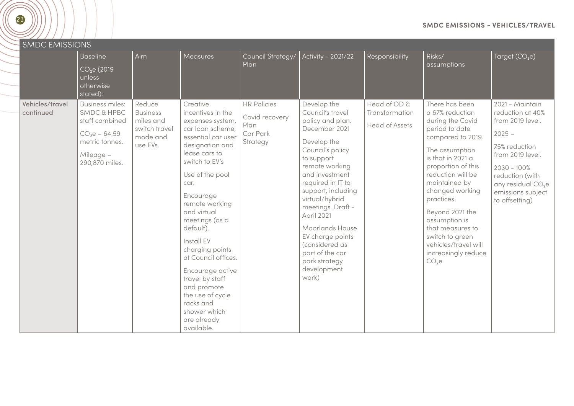| <b>SMDC EMISSIONS</b>        |                                                                                                                                       |                                                                                 |                                                                                                                                                                                                                                                                                                                                                                                                                                                       |                                                                      |                                                                                                                                                                                                                                                                                                                                                                                |                                                         |                                                                                                                                                                                                                                                                                                                                                                                 |                                                                                                                                                                                                                        |
|------------------------------|---------------------------------------------------------------------------------------------------------------------------------------|---------------------------------------------------------------------------------|-------------------------------------------------------------------------------------------------------------------------------------------------------------------------------------------------------------------------------------------------------------------------------------------------------------------------------------------------------------------------------------------------------------------------------------------------------|----------------------------------------------------------------------|--------------------------------------------------------------------------------------------------------------------------------------------------------------------------------------------------------------------------------------------------------------------------------------------------------------------------------------------------------------------------------|---------------------------------------------------------|---------------------------------------------------------------------------------------------------------------------------------------------------------------------------------------------------------------------------------------------------------------------------------------------------------------------------------------------------------------------------------|------------------------------------------------------------------------------------------------------------------------------------------------------------------------------------------------------------------------|
|                              | <b>Baseline</b><br>CO <sub>2</sub> e (2019)<br>unless<br>otherwise<br>stated):                                                        | Aim                                                                             | Measures                                                                                                                                                                                                                                                                                                                                                                                                                                              | Council Strategy/<br>Plan                                            | Activity - 2021/22                                                                                                                                                                                                                                                                                                                                                             | Responsibility                                          | Risks/<br>assumptions                                                                                                                                                                                                                                                                                                                                                           | Target $(CO2e)$                                                                                                                                                                                                        |
| Vehicles/travel<br>continued | <b>Business miles:</b><br><b>SMDC &amp; HPBC</b><br>staff combined<br>$CO2e - 64.59$<br>metric tonnes.<br>Mileage -<br>290,870 miles. | Reduce<br><b>Business</b><br>miles and<br>switch travel<br>mode and<br>use EVs. | Creative<br>incentives in the<br>expenses system,<br>car loan scheme,<br>essential car user<br>designation and<br>lease cars to<br>switch to EV's<br>Use of the pool<br>car.<br>Encourage<br>remote working<br>and virtual<br>meetings (as a<br>default).<br>Install EV<br>charging points<br>at Council offices.<br>Encourage active<br>travel by staff<br>and promote<br>the use of cycle<br>racks and<br>shower which<br>are already<br>available. | <b>HR Policies</b><br>Covid recovery<br>Plan<br>Car Park<br>Strategy | Develop the<br>Council's travel<br>policy and plan.<br>December 2021<br>Develop the<br>Council's policy<br>to support<br>remote working<br>and investment<br>required in IT to<br>support, including<br>virtual/hybrid<br>meetings. Draft -<br>April 2021<br>Moorlands House<br>EV charge points<br>(considered as<br>part of the car<br>park strategy<br>development<br>work) | Head of OD &<br>Transformation<br><b>Head of Assets</b> | There has been<br>a 67% reduction<br>during the Covid<br>period to date<br>compared to 2019.<br>The assumption<br>is that in 2021 a<br>proportion of this<br>reduction will be<br>maintained by<br>changed working<br>practices.<br>Beyond 2021 the<br>assumption is<br>that measures to<br>switch to green<br>vehicles/travel will<br>increasingly reduce<br>CO <sub>2</sub> e | 2021 - Maintain<br>reduction at 40%<br>from 2019 level.<br>$2025 -$<br>75% reduction<br>from 2019 level.<br>$2030 - 100\%$<br>reduction (with<br>any residual CO <sub>2</sub> e<br>emissions subject<br>to offsetting) |

**SMDC EMISSIONS - VEHICLES/TRAVEL**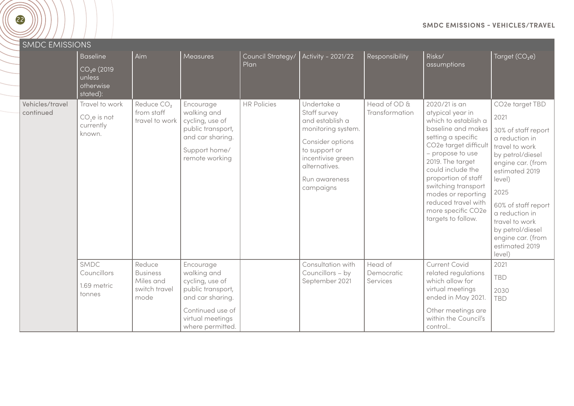| <b>SMDC EMISSIONS</b>        |                                                                                |                                                                 |                                                                                                                                                  |                           |                                                                                                                                                                               |                                   |                                                                                                                                                                                                                                                                                                                                    |                                                                                                                                                                                                                                                                                                       |
|------------------------------|--------------------------------------------------------------------------------|-----------------------------------------------------------------|--------------------------------------------------------------------------------------------------------------------------------------------------|---------------------------|-------------------------------------------------------------------------------------------------------------------------------------------------------------------------------|-----------------------------------|------------------------------------------------------------------------------------------------------------------------------------------------------------------------------------------------------------------------------------------------------------------------------------------------------------------------------------|-------------------------------------------------------------------------------------------------------------------------------------------------------------------------------------------------------------------------------------------------------------------------------------------------------|
|                              | <b>Baseline</b><br>CO <sub>2</sub> e (2019)<br>unless<br>otherwise<br>stated): | Aim                                                             | Measures                                                                                                                                         | Council Strategy/<br>Plan | Activity - 2021/22                                                                                                                                                            | Responsibility                    | Risks/<br>assumptions                                                                                                                                                                                                                                                                                                              | Target $(CO2e)$                                                                                                                                                                                                                                                                                       |
| Vehicles/travel<br>continued | Travel to work<br>CO <sub>2</sub> e is not<br>currently<br>known.              | Reduce CO <sub>2</sub><br>from staff<br>travel to work          | Encourage<br>walking and<br>cycling, use of<br>public transport,<br>and car sharing.<br>Support home/<br>remote working                          | <b>HR Policies</b>        | Undertake a<br>Staff survey<br>and establish a<br>monitoring system.<br>Consider options<br>to support or<br>incentivise green<br>alternatives.<br>Run awareness<br>campaigns | Head of OD &<br>Transformation    | 2020/21 is an<br>atypical year in<br>which to establish a<br>baseline and makes<br>setting a specific<br>CO2e target difficult<br>- propose to use<br>2019. The target<br>could include the<br>proportion of staff<br>switching transport<br>modes or reporting<br>reduced travel with<br>more specific CO2e<br>targets to follow. | CO2e target TBD<br>2021<br>30% of staff report<br>a reduction in<br>travel to work<br>by petrol/diesel<br>engine car. (from<br>estimated 2019<br>$ $ evel $)$<br>2025<br>60% of staff report<br>a reduction in<br>travel to work<br>by petrol/diesel<br>engine car. (from<br>estimated 2019<br>level) |
|                              | SMDC<br>Councillors<br>1.69 metric<br>tonnes                                   | Reduce<br><b>Business</b><br>Miles and<br>switch travel<br>mode | Encourage<br>walking and<br>cycling, use of<br>public transport,<br>and car sharing.<br>Continued use of<br>virtual meetings<br>where permitted. |                           | Consultation with<br>Councillors - by<br>September 2021                                                                                                                       | Head of<br>Democratic<br>Services | Current Covid<br>related regulations<br>which allow for<br>virtual meetings<br>ended in May 2021.<br>Other meetings are<br>within the Council's<br>control                                                                                                                                                                         | 2021<br><b>TBD</b><br>2030<br><b>TBD</b>                                                                                                                                                                                                                                                              |

**SMDC EMISSIONS - VEHICLES/TRAVEL**

22

 $\searrow$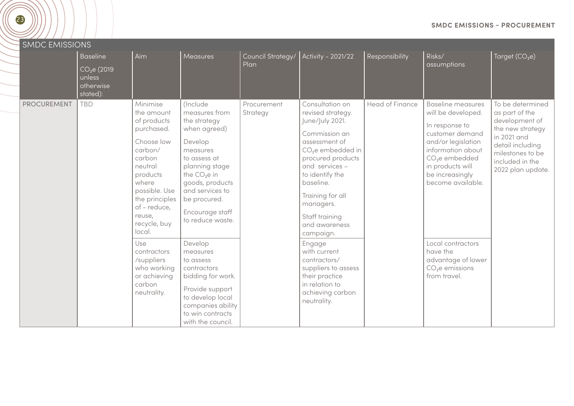| 23                    |                                                                                |                                                                                                                                                                                                               |                                                                                                                                                                                                                                          |                           |                                                                                                                                                                                                                                                                                    |                 |                                                                                                                                                                                                                          | <b>SMDC EMISSIONS - PROCUREMENT</b>                                                                                                                                     |
|-----------------------|--------------------------------------------------------------------------------|---------------------------------------------------------------------------------------------------------------------------------------------------------------------------------------------------------------|------------------------------------------------------------------------------------------------------------------------------------------------------------------------------------------------------------------------------------------|---------------------------|------------------------------------------------------------------------------------------------------------------------------------------------------------------------------------------------------------------------------------------------------------------------------------|-----------------|--------------------------------------------------------------------------------------------------------------------------------------------------------------------------------------------------------------------------|-------------------------------------------------------------------------------------------------------------------------------------------------------------------------|
| <b>SMDC EMISSIONS</b> | <b>Baseline</b><br>CO <sub>2</sub> e (2019)<br>unless<br>otherwise<br>stated): | Aim                                                                                                                                                                                                           | Measures                                                                                                                                                                                                                                 | Council Strategy/<br>Plan | Activity - 2021/22                                                                                                                                                                                                                                                                 | Responsibility  | Risks/<br>assumptions                                                                                                                                                                                                    | Target $(CO2e)$                                                                                                                                                         |
| <b>PROCUREMENT</b>    | <b>TBD</b>                                                                     | Minimise<br>the amount<br>of products<br>purchased.<br>Choose low<br>carbon/<br>carbon<br>neutral<br>products<br>where<br>possible. Use<br>the principles<br>of - reduce,<br>reuse,<br>recycle, buy<br>local. | <i>(Include)</i><br>measures from<br>the strategy<br>when agreed)<br>Develop<br>measures<br>to assess at<br>planning stage<br>the $CO2e$ in<br>goods, products<br>and services to<br>be procured.<br>Encourage staff<br>to reduce waste. | Procurement<br>Strategy   | Consultation on<br>revised strategy.<br>June/July 2021.<br>Commission an<br>assessment of<br>CO <sub>2</sub> e embedded in<br>procured products<br>and services -<br>to identify the<br>baseline.<br>Training for all<br>managers.<br>Staff training<br>and awareness<br>campaign. | Head of Finance | <b>Baseline measures</b><br>will be developed.<br>In response to<br>customer demand<br>and/or legislation<br>information about<br>CO <sub>2</sub> e embedded<br>in products will<br>be increasingly<br>become available. | To be determined<br>as part of the<br>development of<br>the new strategy<br>in 2021 and<br>detail including<br>milestones to be<br>included in the<br>2022 plan update. |
|                       |                                                                                | Use<br>contractors<br>/suppliers<br>who working<br>or achieving<br>carbon<br>neutrality.                                                                                                                      | Develop<br>measures<br>to assess<br>contractors<br>bidding for work.<br>Provide support<br>to develop local<br>companies ability<br>to win contracts<br>with the council.                                                                |                           | Engage<br>with current<br>contractors/<br>suppliers to assess<br>their practice<br>in relation to<br>achieving carbon<br>neutrality.                                                                                                                                               |                 | Local contractors<br>have the<br>advantage of lower<br>$CO2e$ emissions<br>from travel.                                                                                                                                  |                                                                                                                                                                         |

<span id="page-22-0"></span>(T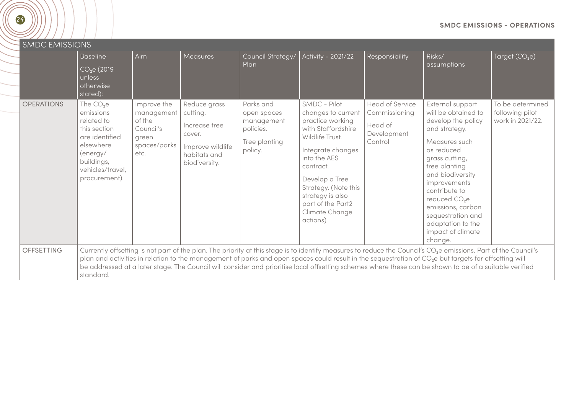|  |  |  | <b>SMDC EMISSIONS - OPERATIONS</b> |  |
|--|--|--|------------------------------------|--|
|--|--|--|------------------------------------|--|

<span id="page-23-0"></span>

| <b>SMDC EMISSIONS</b> |                                                                                                                                                     |                                                                                   |                                                                                                          |                                                                                 |                                                                                                                                                                                                                                                                    |                                                                              |                                                                                                                                                                                                                                                                                                                                                                                                                                                                                                            |                                                         |
|-----------------------|-----------------------------------------------------------------------------------------------------------------------------------------------------|-----------------------------------------------------------------------------------|----------------------------------------------------------------------------------------------------------|---------------------------------------------------------------------------------|--------------------------------------------------------------------------------------------------------------------------------------------------------------------------------------------------------------------------------------------------------------------|------------------------------------------------------------------------------|------------------------------------------------------------------------------------------------------------------------------------------------------------------------------------------------------------------------------------------------------------------------------------------------------------------------------------------------------------------------------------------------------------------------------------------------------------------------------------------------------------|---------------------------------------------------------|
|                       | <b>Baseline</b><br>$\overline{CO_2e(2019)}$<br>unless<br>otherwise<br>stated):                                                                      | Aim                                                                               | Measures                                                                                                 | Council Strategy/<br>Plan                                                       | Activity - 2021/22                                                                                                                                                                                                                                                 | Responsibility                                                               | Risks/<br>assumptions                                                                                                                                                                                                                                                                                                                                                                                                                                                                                      | Target $(CO2e)$                                         |
| <b>OPERATIONS</b>     | The $CO2e$<br>emissions<br>related to<br>this section<br>are identified<br>elsewhere<br>(energy/<br>buildings,<br>vehicles/travel,<br>procurement). | Improve the<br>management<br>of the<br>Council's<br>green<br>spaces/parks<br>etc. | Reduce grass<br>cutting.<br>Increase tree<br>cover.<br>Improve wildlife<br>habitats and<br>biodiversity. | Parks and<br>open spaces<br>management<br>policies.<br>Tree planting<br>policy. | SMDC - Pilot<br>changes to current<br>practice working<br>with Staffordshire<br>Wildlife Trust.<br>Integrate changes<br>into the AES<br>contract.<br>Develop a Tree<br>Strategy. (Note this<br>strategy is also<br>part of the Part2<br>Climate Change<br>actions) | <b>Head of Service</b><br>Commissioning<br>Head of<br>Development<br>Control | External support<br>will be obtained to<br>develop the policy<br>and strategy.<br>Measures such<br>as reduced<br>grass cutting,<br>tree planting<br>and biodiversity<br>improvements<br>contribute to<br>reduced CO <sub>2</sub> e<br>emissions, carbon<br>sequestration and<br>adaptation to the<br>impact of climate<br>change.                                                                                                                                                                          | To be determined<br>following pilot<br>work in 2021/22. |
| <b>OFFSETTING</b>     | standard.                                                                                                                                           |                                                                                   |                                                                                                          |                                                                                 |                                                                                                                                                                                                                                                                    |                                                                              | Currently offsetting is not part of the plan. The priority at this stage is to identify measures to reduce the Council's CO <sub>2</sub> e emissions. Part of the Council's<br>plan and activities in relation to the management of parks and open spaces could result in the sequestration of CO <sub>2</sub> e but targets for offsetting will<br>be addressed at a later stage. The Council will consider and prioritise local offsetting schemes where these can be shown to be of a suitable verified |                                                         |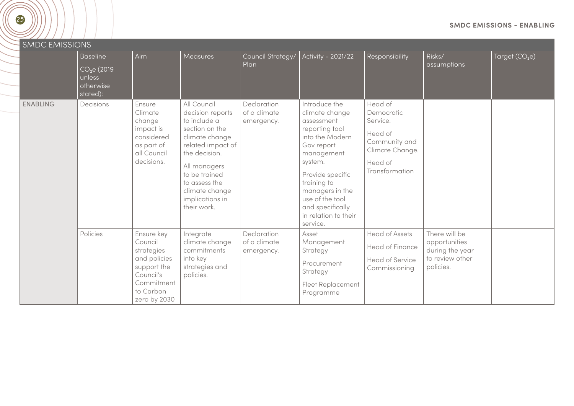<span id="page-24-0"></span>

| <b>SMDC EMISSIONS</b> |                                                                        |                                                                                                                            |                                                                                                                                                                                                                                 |                                           |                                                                                                                                                                                                                                                            |                                                                                                               |                                                                                   |                 |
|-----------------------|------------------------------------------------------------------------|----------------------------------------------------------------------------------------------------------------------------|---------------------------------------------------------------------------------------------------------------------------------------------------------------------------------------------------------------------------------|-------------------------------------------|------------------------------------------------------------------------------------------------------------------------------------------------------------------------------------------------------------------------------------------------------------|---------------------------------------------------------------------------------------------------------------|-----------------------------------------------------------------------------------|-----------------|
|                       | Baseline<br>CO <sub>2</sub> e(2019)<br>unless<br>otherwise<br>stated): | Aim                                                                                                                        | Measures                                                                                                                                                                                                                        | Council Strategy/<br>Plan                 | Activity - 2021/22                                                                                                                                                                                                                                         | Responsibility                                                                                                | Risks/<br>assumptions                                                             | Target $(CO2e)$ |
| <b>ENABLING</b>       | Decisions                                                              | Ensure<br>Climate<br>change<br>impact is<br>considered<br>as part of<br>all Council<br>decisions.                          | All Council<br>decision reports<br>to include a<br>section on the<br>climate change<br>related impact of<br>the decision.<br>All managers<br>to be trained<br>to assess the<br>climate change<br>implications in<br>their work. | Declaration<br>of a climate<br>emergency. | Introduce the<br>climate change<br>assessment<br>reporting tool<br>into the Modern<br>Gov report<br>management<br>system.<br>Provide specific<br>training to<br>managers in the<br>use of the tool<br>and specifically<br>in relation to their<br>service. | Head of<br>Democratic<br>Service.<br>Head of<br>Community and<br>Climate Change.<br>Head of<br>Transformation |                                                                                   |                 |
|                       | Policies                                                               | Ensure key<br>Council<br>strategies<br>and policies<br>support the<br>Council's<br>Commitment<br>to Carbon<br>zero by 2030 | Integrate<br>climate change<br>commitments<br>into key<br>strategies and<br>policies.                                                                                                                                           | Declaration<br>of a climate<br>emergency. | Asset<br>Management<br>Strategy<br>Procurement<br>Strategy<br><b>Fleet Replacement</b><br>Programme                                                                                                                                                        | <b>Head of Assets</b><br>Head of Finance<br>Head of Service<br>Commissioning                                  | There will be<br>opportunities<br>during the year<br>to review other<br>policies. |                 |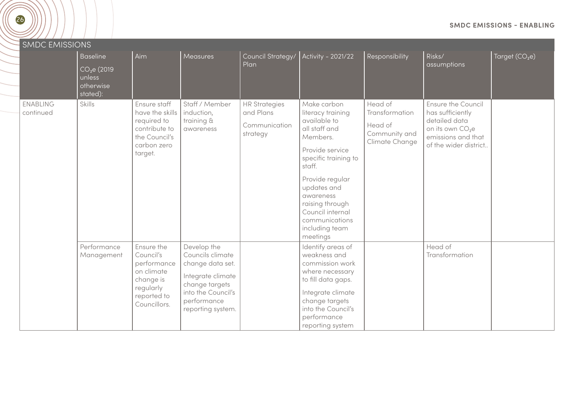| 26                           |                                                                               |                                                                                                               |                                                                                                                                                      |                                                                |                                                                                                                                                                                                                                                                          |                                                                         |                                                                                                                                        | <b>SMDC EMISSIONS - ENABLING</b> |
|------------------------------|-------------------------------------------------------------------------------|---------------------------------------------------------------------------------------------------------------|------------------------------------------------------------------------------------------------------------------------------------------------------|----------------------------------------------------------------|--------------------------------------------------------------------------------------------------------------------------------------------------------------------------------------------------------------------------------------------------------------------------|-------------------------------------------------------------------------|----------------------------------------------------------------------------------------------------------------------------------------|----------------------------------|
| <b>SMDC EMISSIONS</b>        | <b>Baseline</b><br>CO <sub>2</sub> e(2019)<br>unless<br>otherwise<br>stated): | Aim                                                                                                           | Measures                                                                                                                                             | Council Strategy/<br>Plan                                      | Activity - 2021/22                                                                                                                                                                                                                                                       | Responsibility                                                          | Risks/<br>assumptions                                                                                                                  | Target (CO <sub>2</sub> e)       |
| <b>ENABLING</b><br>continued | Skills                                                                        | Ensure staff<br>have the skills<br>required to<br>contribute to<br>the Council's<br>carbon zero<br>target.    | Staff / Member<br>induction,<br>training &<br>awareness                                                                                              | <b>HR Strategies</b><br>and Plans<br>Communication<br>strategy | Make carbon<br>literacy training<br>available to<br>all staff and<br>Members.<br>Provide service<br>specific training to<br>staff.<br>Provide regular<br>updates and<br>awareness<br>raising through<br>Council internal<br>communications<br>including team<br>meetings | Head of<br>Transformation<br>Head of<br>Community and<br>Climate Change | Ensure the Council<br>has sufficiently<br>detailed data<br>on its own CO <sub>2</sub> e<br>emissions and that<br>of the wider district |                                  |
|                              | Performance<br>Management                                                     | Ensure the<br>Council's<br>performance<br>on climate<br>change is<br>regularly<br>reported to<br>Councillors. | Develop the<br>Councils climate<br>change data set.<br>Integrate climate<br>change targets<br>into the Council's<br>performance<br>reporting system. |                                                                | Identify areas of<br>weakness and<br>commission work<br>where necessary<br>to fill data gaps.<br>Integrate climate<br>change targets<br>into the Council's<br>performance<br>reporting system                                                                            |                                                                         | Head of<br>Transformation                                                                                                              |                                  |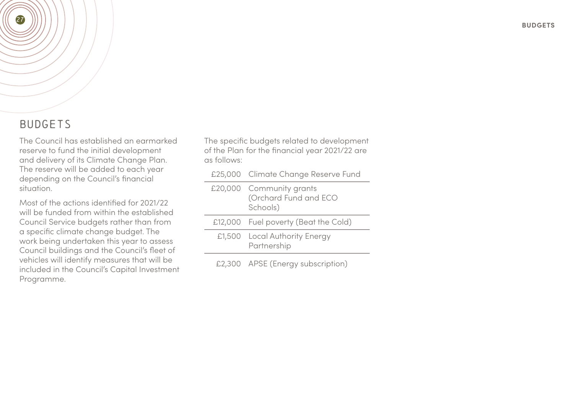### BUDGETS

<span id="page-26-0"></span>27

The Council has established an earmarked reserve to fund the initial development and delivery of its Climate Change Plan. The reserve will be added to each year depending on the Council's financial situation.

Most of the actions identified for 2021/22 will be funded from within the established Council Service budgets rather than from a specific climate change budget. The work being undertaken this year to assess Council buildings and the Council's fleet of vehicles will identify measures that will be included in the Council's Capital Investment Programme.

The specific budgets related to development of the Plan for the financial year 2021/22 are as follows:

|  | £25,000 Climate Change Reserve Fund                           |
|--|---------------------------------------------------------------|
|  | £20,000 Community grants<br>(Orchard Fund and ECO<br>Schools) |
|  | £12,000 Fuel poverty (Beat the Cold)                          |
|  | £1,500 Local Authority Energy<br>Partnership                  |
|  | £2,300 APSE (Energy subscription)                             |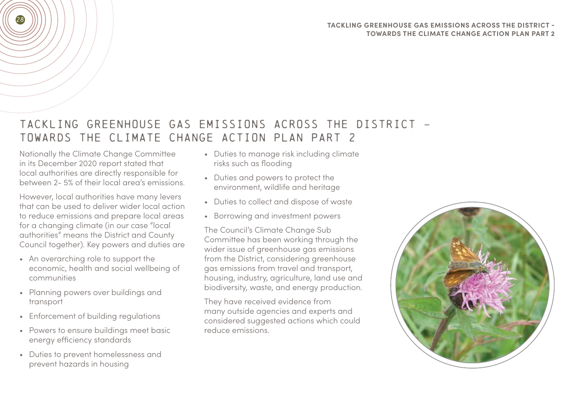#### **TACKLING GREENHOUSE GAS EMISSIONS ACROSS THE DISTRICT - TOWARDS THE CLIMATE CHANGE ACTION PLAN PART 2**

## TACKLING GREENHOUSE GAS EMISSIONS ACROSS THE DISTRICT - TOWARDS THE CLIMATE CHANGE ACTION PLAN PART 2

Nationally the Climate Change Committee in its December 2020 report stated that local authorities are directly responsible for between 2- 5% of their local area's emissions.

<span id="page-27-0"></span>28

However, local authorities have many levers that can be used to deliver wider local action to reduce emissions and prepare local areas for a changing climate (in our case "local authorities" means the District and County Council together). Key powers and duties are

- An overarching role to support the economic, health and social wellbeing of communities
- Planning powers over buildings and transport
- Enforcement of building regulations
- Powers to ensure buildings meet basic energy efficiency standards
- Duties to prevent homelessness and prevent hazards in housing
- Duties to manage risk including climate risks such as flooding
- Duties and powers to protect the environment, wildlife and heritage
- Duties to collect and dispose of waste
- Borrowing and investment powers

The Council's Climate Change Sub Committee has been working through the wider issue of greenhouse gas emissions from the District, considering greenhouse gas emissions from travel and transport, housing, industry, agriculture, land use and biodiversity, waste, and energy production.

They have received evidence from many outside agencies and experts and considered suggested actions which could reduce emissions.